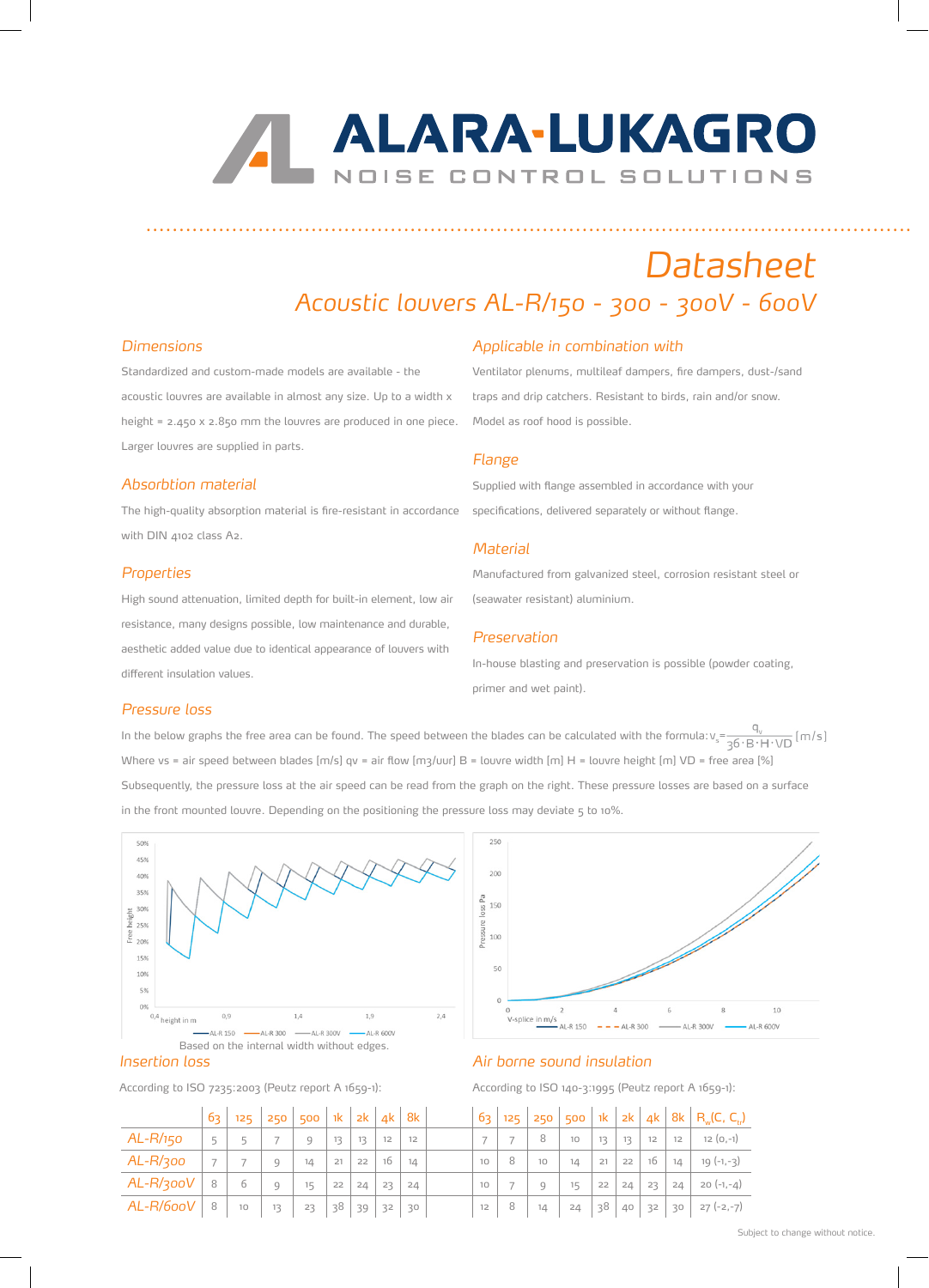# **ALARA-LUKAGRO** NOISE CONTROL SOLUTIONS

## *Datasheet*

### *Acoustic louvers AL-R/150 - 300 - 300V - 600V*

.........................................................................................................................

#### *Dimensions*

Standardized and custom-made models are available - the acoustic louvres are available in almost any size. Up to a width x height = 2.450 x 2.850 mm the louvres are produced in one piece. Larger louvres are supplied in parts.

#### *Absorbtion material*

The high-quality absorption material is fire-resistant in accordance with DIN 4102 class A2.

#### *Properties*

High sound attenuation, limited depth for built-in element, low air resistance, many designs possible, low maintenance and durable, aesthetic added value due to identical appearance of louvers with different insulation values.

#### *Applicable in combination with*

Ventilator plenums, multileaf dampers, fire dampers, dust-/sand traps and drip catchers. Resistant to birds, rain and/or snow. Model as roof hood is possible.

#### *Flange*

Supplied with flange assembled in accordance with your specifications, delivered separately or without flange.

#### *Material*

Manufactured from galvanized steel, corrosion resistant steel or (seawater resistant) aluminium.

#### *Preservation*

In-house blasting and preservation is possible (powder coating, primer and wet paint).

#### *Pressure loss*

In the below graphs the free area can be found. The speed between the blades can be calculated with the formula:  $v_s = \frac{q_v}{36 \cdot B \cdot H \cdot \sqrt{D}}$  [m/s] Where vs = air speed between blades  $[m/s]$  qv = air flow  $[m3/uvr]$  B = louvre width  $[m]$  H = louvre height  $[m]$  VD = free area [%] Subsequently, the pressure loss at the air speed can be read from the graph on the right. These pressure losses are based on a surface in the front mounted louvre. Depending on the positioning the pressure loss may deviate 5 to 10%.



According to ISO 7235:2003 (Peutz report A 1659-1):

### 250  $200$ loss Pa 150 ressure  $100$  $10$ 0<br>V-splice  $\frac{2}{m}$ AL-R 150 –

#### *Air borne sound insulation*

According to ISO 140-3:1995 (Peutz report A 1659-1):

|            | 63.                      | 125 | 250 | 500 | $-1k$ |    | $2k$ 4k          | 8k | <u> 63</u> | 125 | 250    | 500     |    |    |    |    | 1k   2k   4k   8k   R <sub>u</sub> (C, C <sub>rc</sub> ) |
|------------|--------------------------|-----|-----|-----|-------|----|------------------|----|------------|-----|--------|---------|----|----|----|----|----------------------------------------------------------|
| $AL-R/150$ | 5                        |     |     | q   | 13    | 13 | 12 <sup>12</sup> | 12 |            |     | 8      | 10      | 13 | 13 | 12 | 12 | $12(0,-1)$                                               |
| AL-R/300   | $\overline{\phantom{a}}$ | 7   | Q   | 14  | 21    | 22 | 16               | 14 | 10         | 8   | 10     | 14      | 21 | 22 | 16 | 14 | $19(-1,-3)$                                              |
| AL-R/300V  | 8                        | 6   | Q   | 15  | 22    | 24 | 23               | 24 | 10         |     | $\cup$ | $15 \,$ | 22 | 24 | 23 | 24 | $20 (-1,-4)$                                             |
| AL-R/600V  | 8                        | 10  | 13  | 23  | 38    | 39 | 32               | 30 | 12         | 8   | 14     | 24      | 38 | 40 | 32 | 30 | 27 (-2,-7)                                               |